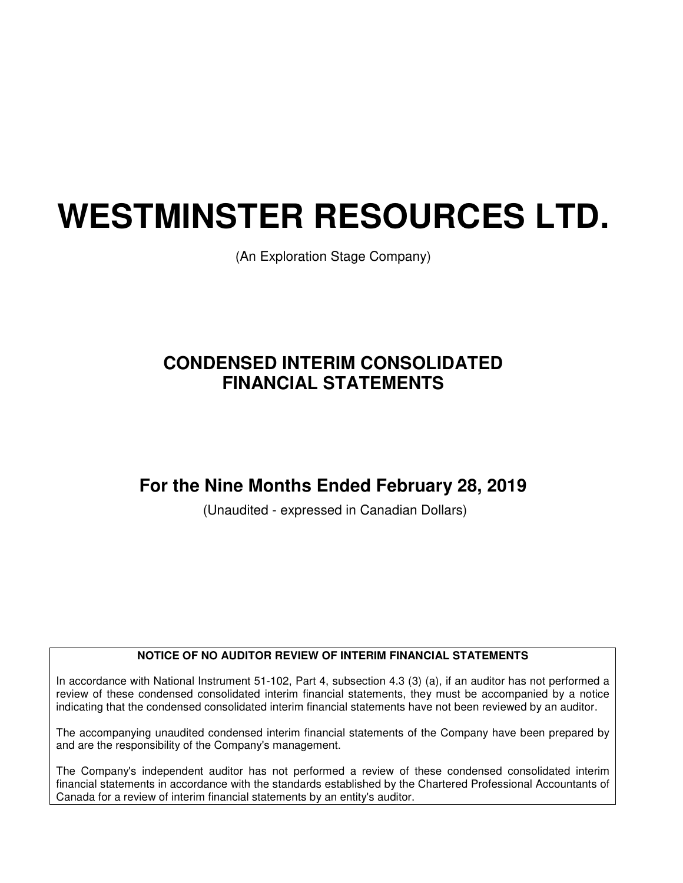# **WESTMINSTER RESOURCES LTD.**

(An Exploration Stage Company)

# **CONDENSED INTERIM CONSOLIDATED FINANCIAL STATEMENTS**

# **For the Nine Months Ended February 28, 2019**

(Unaudited - expressed in Canadian Dollars)

#### **NOTICE OF NO AUDITOR REVIEW OF INTERIM FINANCIAL STATEMENTS**

In accordance with National Instrument 51-102, Part 4, subsection 4.3 (3) (a), if an auditor has not performed a review of these condensed consolidated interim financial statements, they must be accompanied by a notice indicating that the condensed consolidated interim financial statements have not been reviewed by an auditor.

The accompanying unaudited condensed interim financial statements of the Company have been prepared by and are the responsibility of the Company's management.

The Company's independent auditor has not performed a review of these condensed consolidated interim financial statements in accordance with the standards established by the Chartered Professional Accountants of Canada for a review of interim financial statements by an entity's auditor.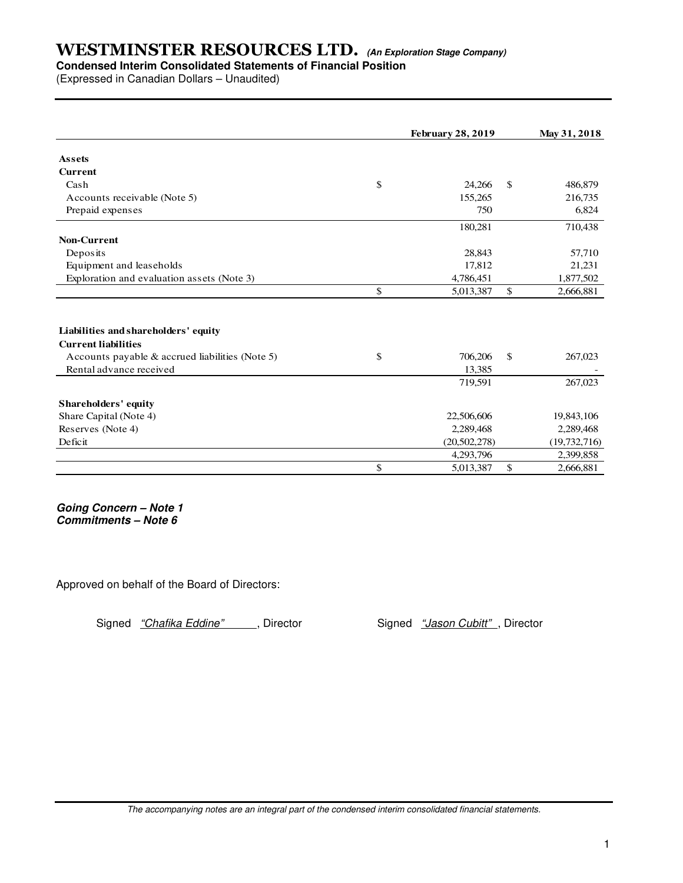# **Condensed Interim Consolidated Statements of Financial Position**

(Expressed in Canadian Dollars – Unaudited)

|                                                 | <b>February 28, 2019</b> | May 31, 2018    |
|-------------------------------------------------|--------------------------|-----------------|
| <b>Assets</b>                                   |                          |                 |
| <b>Current</b>                                  |                          |                 |
| Cash                                            | \$<br>24,266             | \$<br>486,879   |
| Accounts receivable (Note 5)                    | 155.265                  | 216,735         |
| Prepaid expenses                                | 750                      | 6,824           |
|                                                 | 180,281                  | 710,438         |
| <b>Non-Current</b>                              |                          |                 |
| Deposits                                        | 28,843                   | 57,710          |
| Equipment and leaseholds                        | 17,812                   | 21,231          |
| Exploration and evaluation assets (Note 3)      | 4,786,451                | 1,877,502       |
|                                                 | \$<br>5,013,387          | \$<br>2,666,881 |
|                                                 |                          |                 |
| Liabilities and shareholders' equity            |                          |                 |
| <b>Current liabilities</b>                      |                          |                 |
| Accounts payable & accrued liabilities (Note 5) | \$<br>706,206            | \$<br>267,023   |
| Rental advance received                         | 13.385                   |                 |
|                                                 | 719,591                  | 267,023         |
| Shareholders' equity                            |                          |                 |
| Share Capital (Note 4)                          | 22,506,606               | 19,843,106      |
| Reserves (Note 4)                               | 2,289,468                | 2,289,468       |
| Deficit                                         | (20, 502, 278)           | (19, 732, 716)  |
|                                                 | 4,293,796                | 2,399,858       |
|                                                 | \$<br>5,013,387          | \$<br>2,666,881 |

**Going Concern – Note 1 Commitments – Note 6** 

Approved on behalf of the Board of Directors:

Signed "Chafika Eddine", Director Signed "Jason Cubitt", Director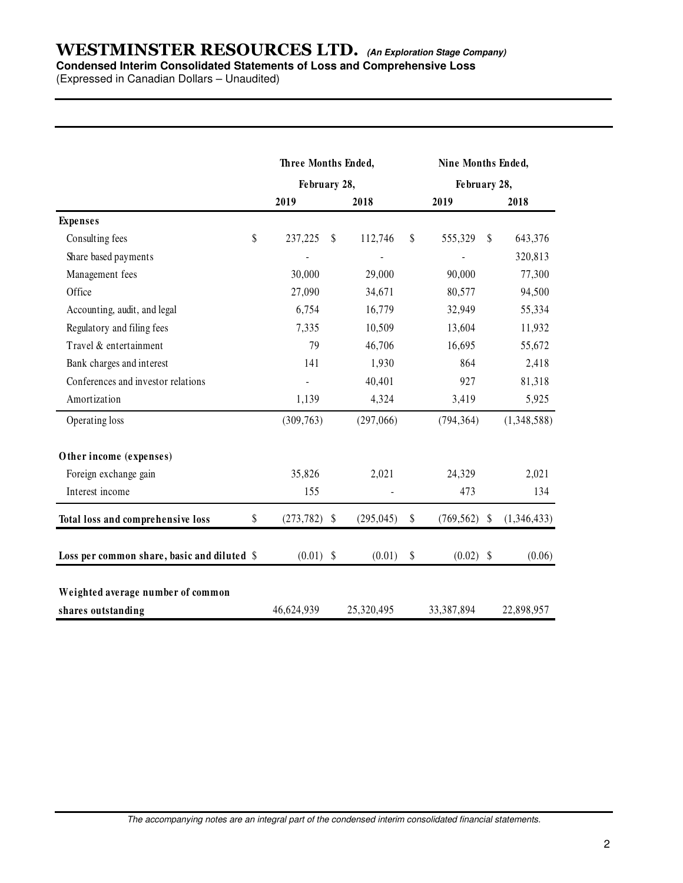#### **Condensed Interim Consolidated Statements of Loss and Comprehensive Loss**

(Expressed in Canadian Dollars – Unaudited)

|                                             | Three Months Ended, |                  |              | Nine Months Ended,<br>February 28, |             |  |  |
|---------------------------------------------|---------------------|------------------|--------------|------------------------------------|-------------|--|--|
|                                             | February 28,        |                  |              |                                    |             |  |  |
|                                             | 2019                | 2018             |              | 2019                               | 2018        |  |  |
| <b>Expenses</b>                             |                     |                  |              |                                    |             |  |  |
| \$<br>Consulting fees                       | 237,225             | \$<br>112,746    | $\mathbb{S}$ | 555,329<br>\$                      | 643,376     |  |  |
| Share based payments                        |                     |                  |              |                                    | 320,813     |  |  |
| Management fees                             | 30,000              | 29,000           |              | 90,000                             | 77,300      |  |  |
| Office                                      | 27,090              | 34,671           |              | 80,577                             | 94,500      |  |  |
| Accounting, audit, and legal                | 6,754               | 16,779           |              | 32,949                             | 55,334      |  |  |
| Regulatory and filing fees                  | 7,335               | 10,509           |              | 13,604                             | 11,932      |  |  |
| Travel & entertainment                      | 79                  | 46,706           |              | 16,695                             | 55,672      |  |  |
| Bank charges and interest                   | 141                 | 1,930            |              | 864                                | 2,418       |  |  |
| Conferences and investor relations          |                     | 40,401           |              | 927                                | 81,318      |  |  |
| Amortization                                | 1,139               | 4,324            |              | 3,419                              | 5,925       |  |  |
| Operating loss                              | (309, 763)          | (297,066)        |              | (794, 364)                         | (1,348,588) |  |  |
| Other income (expenses)                     |                     |                  |              |                                    |             |  |  |
| Foreign exchange gain                       | 35,826              | 2,021            |              | 24,329                             | 2,021       |  |  |
| Interest income                             | 155                 |                  |              | 473                                | 134         |  |  |
| \$<br>Total loss and comprehensive loss     | (273, 782)          | \$<br>(295, 045) | \$           | $(769, 562)$ \$                    | (1,346,433) |  |  |
| Loss per common share, basic and diluted \$ | $(0.01)$ \$         | (0.01)           | \$           | $(0.02)$ \$                        | (0.06)      |  |  |
| Weighted average number of common           |                     |                  |              |                                    |             |  |  |
| shares outstanding                          | 46,624,939          | 25,320,495       |              | 33,387,894                         | 22,898,957  |  |  |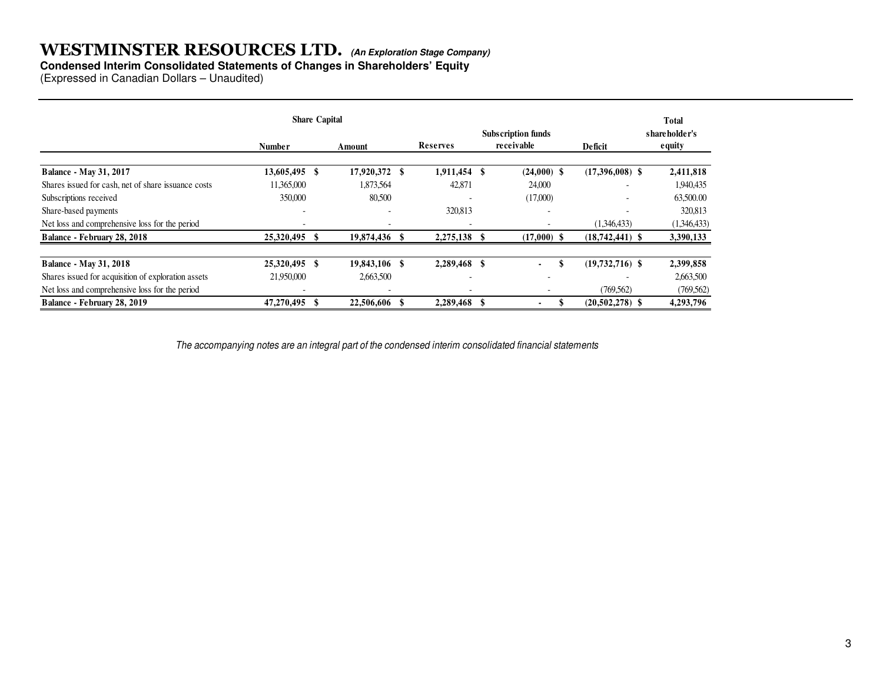#### **Condensed Interim Consolidated Statements of Changes in Shareholders' Equity**

(Expressed in Canadian Dollars – Unaudited)

|                                                     | <b>Share Capital</b>     |               |                          |    |                                         |                          | Total                           |
|-----------------------------------------------------|--------------------------|---------------|--------------------------|----|-----------------------------------------|--------------------------|---------------------------------|
|                                                     | Number                   | Amount        | Reserves                 |    | <b>Subscription funds</b><br>receivable | Deficit                  | shareholder's<br><b>e</b> quity |
| <b>Balance - May 31, 2017</b>                       | 13,605,495 \$            | 17,920,372 \$ | 1,911,454 \$             |    | $(24,000)$ \$                           | $(17,396,008)$ \$        | 2,411,818                       |
| Shares issued for cash, net of share issuance costs | 11.365,000               | 1,873,564     | 42,871                   |    | 24,000                                  |                          | 1,940,435                       |
| Subscriptions received                              | 350,000                  | 80,500        |                          |    | (17,000)                                | $\overline{\phantom{a}}$ | 63,500.00                       |
| Share-based payments                                | $\overline{\phantom{0}}$ |               | 320,813                  |    | $\overline{\phantom{a}}$                |                          | 320,813                         |
| Net loss and comprehensive loss for the period      |                          |               |                          |    |                                         | (1.346.433)              | (1,346,433)                     |
| Balance - February 28, 2018                         | 25,320,495 \$            | 19,874,436    | 2,275,138                |    | $(17,000)$ \$                           | $(18,742,441)$ \$        | 3,390,133                       |
| <b>Balance - May 31, 2018</b>                       | 25,320,495 \$            | 19,843,106 \$ | 2,289,468                | -S | \$<br>۰                                 | $(19,732,716)$ \$        | 2,399,858                       |
| Shares issued for acquisition of exploration assets | 21,950,000               | 2,663,500     | $\overline{\phantom{0}}$ |    | $\overline{\phantom{0}}$                |                          | 2,663,500                       |
| Net loss and comprehensive loss for the period      |                          |               |                          |    |                                         | (769, 562)               | (769, 562)                      |
| Balance - February 28, 2019                         | 47,270,495               | 22,506,606    | 2,289,468                |    |                                         | $(20,502,278)$ \$        | 4,293,796                       |

The accompanying notes are an integral part of the condensed interim consolidated financial statements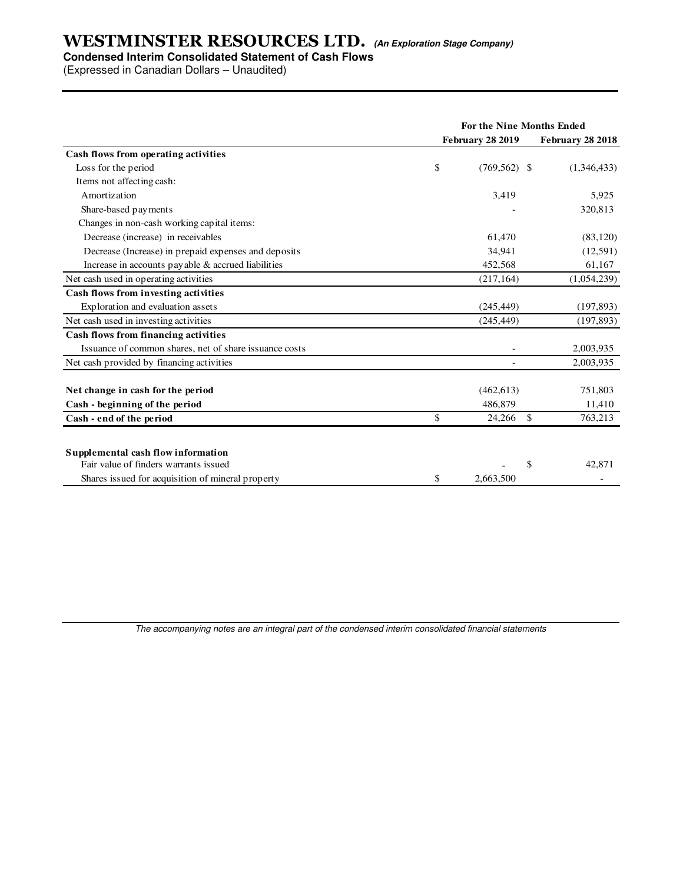#### **Condensed Interim Consolidated Statement of Cash Flows**

(Expressed in Canadian Dollars – Unaudited)

|                                                        | For the Nine Months Ended |                         |                  |  |  |
|--------------------------------------------------------|---------------------------|-------------------------|------------------|--|--|
|                                                        |                           | <b>February 28 2019</b> | February 28 2018 |  |  |
| Cash flows from operating activities                   |                           |                         |                  |  |  |
| Loss for the period                                    | \$                        | $(769, 562)$ \$         | (1,346,433)      |  |  |
| Items not affecting cash:                              |                           |                         |                  |  |  |
| Amortization                                           |                           | 3,419                   | 5,925            |  |  |
| Share-based payments                                   |                           |                         | 320,813          |  |  |
| Changes in non-cash working capital items:             |                           |                         |                  |  |  |
| Decrease (increase) in receivables                     |                           | 61,470                  | (83, 120)        |  |  |
| Decrease (Increase) in prepaid expenses and deposits   |                           | 34,941                  | (12,591)         |  |  |
| Increase in accounts payable & accrued liabilities     |                           | 452,568                 | 61,167           |  |  |
| Net cash used in operating activities                  |                           | (217, 164)              | (1,054,239)      |  |  |
| Cash flows from investing activities                   |                           |                         |                  |  |  |
| Exploration and evaluation assets                      |                           | (245, 449)              | (197, 893)       |  |  |
| Net cash used in investing activities                  |                           | (245, 449)              | (197, 893)       |  |  |
| Cash flows from financing activities                   |                           |                         |                  |  |  |
| Issuance of common shares, net of share issuance costs |                           |                         | 2,003,935        |  |  |
| Net cash provided by financing activities              |                           |                         | 2,003,935        |  |  |
| Net change in cash for the period                      |                           | (462, 613)              | 751,803          |  |  |
| Cash - beginning of the period                         |                           | 486,879                 | 11,410           |  |  |
| Cash - end of the period                               | \$                        | 24,266<br><sup>\$</sup> | 763,213          |  |  |
| Supplemental cash flow information                     |                           |                         |                  |  |  |
| Fair value of finders warrants issued                  |                           | \$                      | 42.871           |  |  |
| Shares issued for acquisition of mineral property      | \$                        | 2.663.500               |                  |  |  |

The accompanying notes are an integral part of the condensed interim consolidated financial statements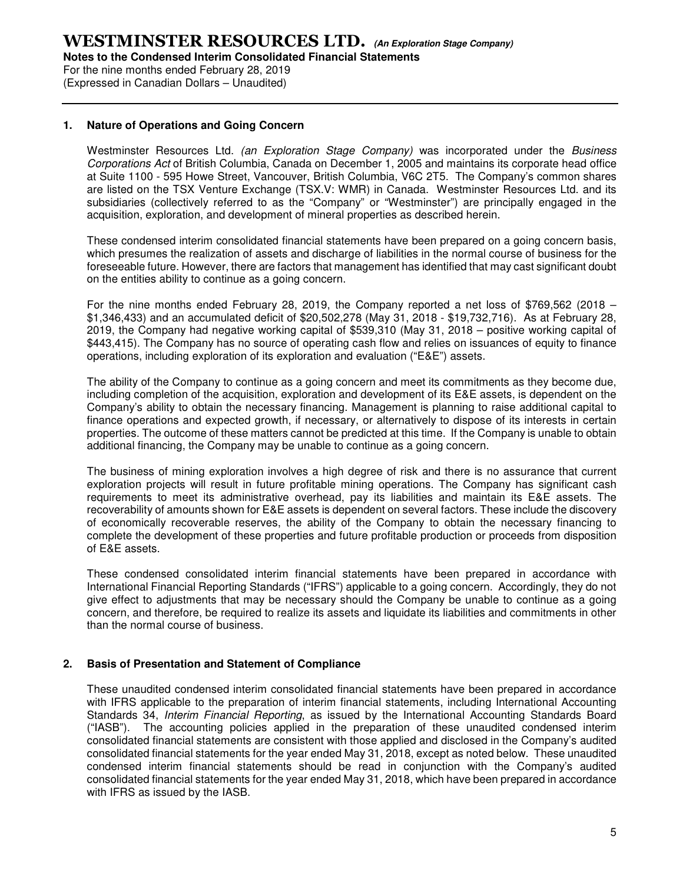For the nine months ended February 28, 2019 (Expressed in Canadian Dollars – Unaudited)

#### **1. Nature of Operations and Going Concern**

Westminster Resources Ltd. (an Exploration Stage Company) was incorporated under the Business Corporations Act of British Columbia, Canada on December 1, 2005 and maintains its corporate head office at Suite 1100 - 595 Howe Street, Vancouver, British Columbia, V6C 2T5. The Company's common shares are listed on the TSX Venture Exchange (TSX.V: WMR) in Canada. Westminster Resources Ltd. and its subsidiaries (collectively referred to as the "Company" or "Westminster") are principally engaged in the acquisition, exploration, and development of mineral properties as described herein.

These condensed interim consolidated financial statements have been prepared on a going concern basis, which presumes the realization of assets and discharge of liabilities in the normal course of business for the foreseeable future. However, there are factors that management has identified that may cast significant doubt on the entities ability to continue as a going concern.

For the nine months ended February 28, 2019, the Company reported a net loss of \$769,562 (2018 – \$1,346,433) and an accumulated deficit of \$20,502,278 (May 31, 2018 - \$19,732,716). As at February 28, 2019, the Company had negative working capital of \$539,310 (May 31, 2018 – positive working capital of \$443,415). The Company has no source of operating cash flow and relies on issuances of equity to finance operations, including exploration of its exploration and evaluation ("E&E") assets.

The ability of the Company to continue as a going concern and meet its commitments as they become due, including completion of the acquisition, exploration and development of its E&E assets, is dependent on the Company's ability to obtain the necessary financing. Management is planning to raise additional capital to finance operations and expected growth, if necessary, or alternatively to dispose of its interests in certain properties. The outcome of these matters cannot be predicted at this time. If the Company is unable to obtain additional financing, the Company may be unable to continue as a going concern.

The business of mining exploration involves a high degree of risk and there is no assurance that current exploration projects will result in future profitable mining operations. The Company has significant cash requirements to meet its administrative overhead, pay its liabilities and maintain its E&E assets. The recoverability of amounts shown for E&E assets is dependent on several factors. These include the discovery of economically recoverable reserves, the ability of the Company to obtain the necessary financing to complete the development of these properties and future profitable production or proceeds from disposition of E&E assets.

These condensed consolidated interim financial statements have been prepared in accordance with International Financial Reporting Standards ("IFRS") applicable to a going concern. Accordingly, they do not give effect to adjustments that may be necessary should the Company be unable to continue as a going concern, and therefore, be required to realize its assets and liquidate its liabilities and commitments in other than the normal course of business.

#### **2. Basis of Presentation and Statement of Compliance**

These unaudited condensed interim consolidated financial statements have been prepared in accordance with IFRS applicable to the preparation of interim financial statements, including International Accounting Standards 34, Interim Financial Reporting, as issued by the International Accounting Standards Board ("IASB"). The accounting policies applied in the preparation of these unaudited condensed interim consolidated financial statements are consistent with those applied and disclosed in the Company's audited consolidated financial statements for the year ended May 31, 2018, except as noted below. These unaudited condensed interim financial statements should be read in conjunction with the Company's audited consolidated financial statements for the year ended May 31, 2018, which have been prepared in accordance with IFRS as issued by the IASB.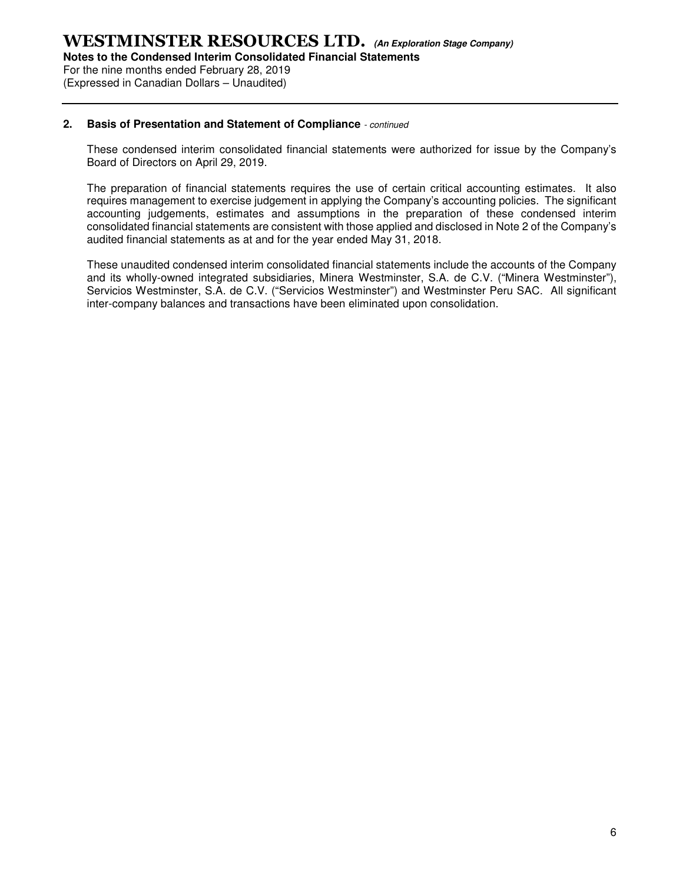For the nine months ended February 28, 2019 (Expressed in Canadian Dollars – Unaudited)

#### **2. Basis of Presentation and Statement of Compliance** - continued

These condensed interim consolidated financial statements were authorized for issue by the Company's Board of Directors on April 29, 2019.

The preparation of financial statements requires the use of certain critical accounting estimates. It also requires management to exercise judgement in applying the Company's accounting policies. The significant accounting judgements, estimates and assumptions in the preparation of these condensed interim consolidated financial statements are consistent with those applied and disclosed in Note 2 of the Company's audited financial statements as at and for the year ended May 31, 2018.

These unaudited condensed interim consolidated financial statements include the accounts of the Company and its wholly-owned integrated subsidiaries, Minera Westminster, S.A. de C.V. ("Minera Westminster"), Servicios Westminster, S.A. de C.V. ("Servicios Westminster") and Westminster Peru SAC. All significant inter-company balances and transactions have been eliminated upon consolidation.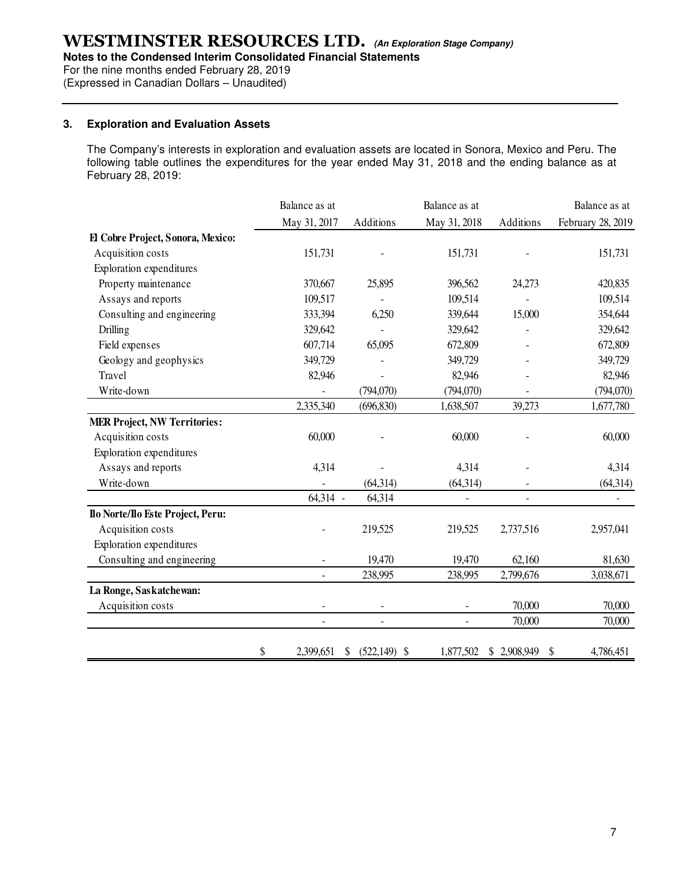**Notes to the Condensed Interim Consolidated Financial Statements** 

For the nine months ended February 28, 2019

(Expressed in Canadian Dollars – Unaudited)

#### **3. Exploration and Evaluation Assets**

The Company's interests in exploration and evaluation assets are located in Sonora, Mexico and Peru. The following table outlines the expenditures for the year ended May 31, 2018 and the ending balance as at February 28, 2019:

|                                     | Balance as at            |                          | Balance as at            |             | Balance as at     |
|-------------------------------------|--------------------------|--------------------------|--------------------------|-------------|-------------------|
|                                     | May 31, 2017             | Additions                | May 31, 2018             | Additions   | February 28, 2019 |
| El Cobre Project, Sonora, Mexico:   |                          |                          |                          |             |                   |
| Acquisition costs                   | 151,731                  |                          | 151,731                  |             | 151,731           |
| Exploration expenditures            |                          |                          |                          |             |                   |
| Property maintenance                | 370,667                  | 25,895                   | 396,562                  | 24,273      | 420,835           |
| Assays and reports                  | 109,517                  |                          | 109,514                  |             | 109,514           |
| Consulting and engineering          | 333,394                  | 6,250                    | 339,644                  | 15,000      | 354,644           |
| Drilling                            | 329,642                  |                          | 329,642                  |             | 329,642           |
| Field expenses                      | 607,714                  | 65,095                   | 672,809                  |             | 672,809           |
| Geology and geophysics              | 349,729                  |                          | 349,729                  |             | 349,729           |
| Travel                              | 82,946                   |                          | 82,946                   |             | 82,946            |
| Write-down                          |                          | (794,070)                | (794,070)                |             | (794,070)         |
|                                     | 2,335,340                | (696, 830)               | 1,638,507                | 39,273      | 1,677,780         |
| <b>MER Project, NW Territories:</b> |                          |                          |                          |             |                   |
| Acquisition costs                   | 60,000                   |                          | 60,000                   |             | 60,000            |
| <b>Exploration</b> expenditures     |                          |                          |                          |             |                   |
| Assays and reports                  | 4,314                    |                          | 4,314                    |             | 4,314             |
| Write-down                          |                          | (64,314)                 | (64, 314)                |             | (64, 314)         |
|                                     | 64,314 -                 | 64,314                   |                          |             |                   |
| Ilo Norte/Ilo Este Project, Peru:   |                          |                          |                          |             |                   |
| Acquisition costs                   |                          | 219,525                  | 219,525                  | 2,737,516   | 2,957,041         |
| <b>Exploration</b> expenditures     |                          |                          |                          |             |                   |
| Consulting and engineering          |                          | 19,470                   | 19,470                   | 62,160      | 81,630            |
|                                     |                          | 238,995                  | 238,995                  | 2,799,676   | 3,038,671         |
| La Ronge, Saskatchewan:             |                          |                          |                          |             |                   |
| Acquisition costs                   |                          |                          |                          | 70,000      | 70,000            |
|                                     | $\overline{\phantom{a}}$ | $\overline{\phantom{a}}$ | $\overline{\phantom{a}}$ | 70,000      | 70,000            |
|                                     | \$<br>2,399,651          | \$<br>$(522,149)$ \$     | 1,877,502                | \$2,908,949 | S<br>4,786,451    |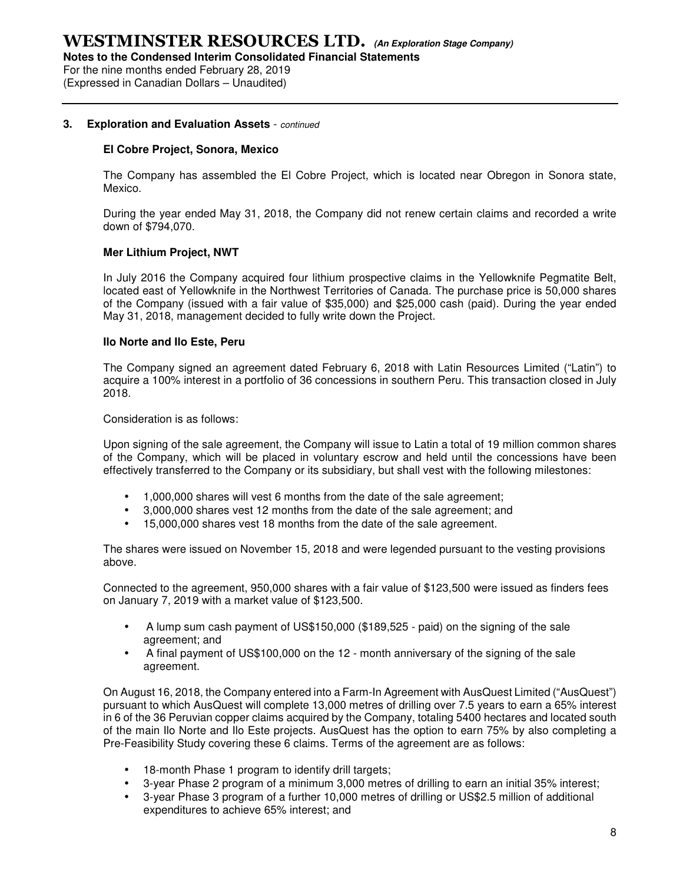For the nine months ended February 28, 2019 (Expressed in Canadian Dollars – Unaudited)

#### **3. Exploration and Evaluation Assets** - continued

#### **El Cobre Project, Sonora, Mexico**

The Company has assembled the El Cobre Project, which is located near Obregon in Sonora state, Mexico.

During the year ended May 31, 2018, the Company did not renew certain claims and recorded a write down of \$794,070.

#### **Mer Lithium Project, NWT**

In July 2016 the Company acquired four lithium prospective claims in the Yellowknife Pegmatite Belt, located east of Yellowknife in the Northwest Territories of Canada. The purchase price is 50,000 shares of the Company (issued with a fair value of \$35,000) and \$25,000 cash (paid). During the year ended May 31, 2018, management decided to fully write down the Project.

#### **Ilo Norte and Ilo Este, Peru**

The Company signed an agreement dated February 6, 2018 with Latin Resources Limited ("Latin") to acquire a 100% interest in a portfolio of 36 concessions in southern Peru. This transaction closed in July 2018.

Consideration is as follows:

Upon signing of the sale agreement, the Company will issue to Latin a total of 19 million common shares of the Company, which will be placed in voluntary escrow and held until the concessions have been effectively transferred to the Company or its subsidiary, but shall vest with the following milestones:

- 1,000,000 shares will vest 6 months from the date of the sale agreement;
- 3,000,000 shares vest 12 months from the date of the sale agreement; and
- 15,000,000 shares vest 18 months from the date of the sale agreement.

The shares were issued on November 15, 2018 and were legended pursuant to the vesting provisions above.

Connected to the agreement, 950,000 shares with a fair value of \$123,500 were issued as finders fees on January 7, 2019 with a market value of \$123,500.

- A lump sum cash payment of US\$150,000 (\$189,525 paid) on the signing of the sale agreement; and
- A final payment of US\$100,000 on the 12 month anniversary of the signing of the sale agreement.

On August 16, 2018, the Company entered into a Farm-In Agreement with AusQuest Limited ("AusQuest") pursuant to which AusQuest will complete 13,000 metres of drilling over 7.5 years to earn a 65% interest in 6 of the 36 Peruvian copper claims acquired by the Company, totaling 5400 hectares and located south of the main Ilo Norte and Ilo Este projects. AusQuest has the option to earn 75% by also completing a Pre-Feasibility Study covering these 6 claims. Terms of the agreement are as follows:

- 18-month Phase 1 program to identify drill targets;
- 3-year Phase 2 program of a minimum 3,000 metres of drilling to earn an initial 35% interest;
- 3-year Phase 3 program of a further 10,000 metres of drilling or US\$2.5 million of additional expenditures to achieve 65% interest; and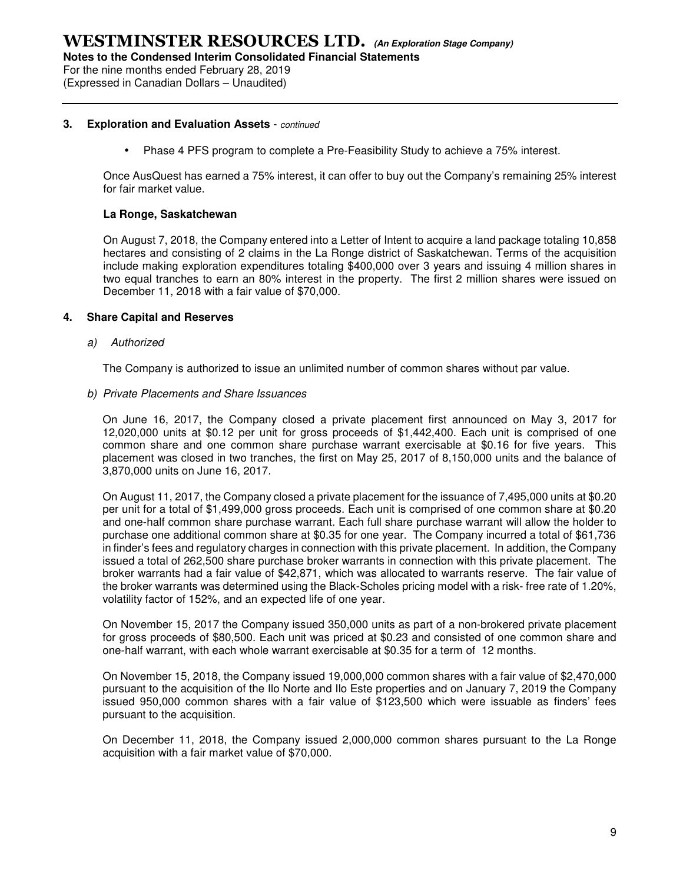For the nine months ended February 28, 2019

(Expressed in Canadian Dollars – Unaudited)

#### **3. Exploration and Evaluation Assets** - continued

• Phase 4 PFS program to complete a Pre-Feasibility Study to achieve a 75% interest.

Once AusQuest has earned a 75% interest, it can offer to buy out the Company's remaining 25% interest for fair market value.

#### **La Ronge, Saskatchewan**

On August 7, 2018, the Company entered into a Letter of Intent to acquire a land package totaling 10,858 hectares and consisting of 2 claims in the La Ronge district of Saskatchewan. Terms of the acquisition include making exploration expenditures totaling \$400,000 over 3 years and issuing 4 million shares in two equal tranches to earn an 80% interest in the property. The first 2 million shares were issued on December 11, 2018 with a fair value of \$70,000.

#### **4. Share Capital and Reserves**

a) Authorized

The Company is authorized to issue an unlimited number of common shares without par value.

#### b) Private Placements and Share Issuances

On June 16, 2017, the Company closed a private placement first announced on May 3, 2017 for 12,020,000 units at \$0.12 per unit for gross proceeds of \$1,442,400. Each unit is comprised of one common share and one common share purchase warrant exercisable at \$0.16 for five years. This placement was closed in two tranches, the first on May 25, 2017 of 8,150,000 units and the balance of 3,870,000 units on June 16, 2017.

On August 11, 2017, the Company closed a private placement for the issuance of 7,495,000 units at \$0.20 per unit for a total of \$1,499,000 gross proceeds. Each unit is comprised of one common share at \$0.20 and one-half common share purchase warrant. Each full share purchase warrant will allow the holder to purchase one additional common share at \$0.35 for one year. The Company incurred a total of \$61,736 in finder's fees and regulatory charges in connection with this private placement. In addition, the Company issued a total of 262,500 share purchase broker warrants in connection with this private placement. The broker warrants had a fair value of \$42,871, which was allocated to warrants reserve. The fair value of the broker warrants was determined using the Black-Scholes pricing model with a risk- free rate of 1.20%, volatility factor of 152%, and an expected life of one year.

On November 15, 2017 the Company issued 350,000 units as part of a non-brokered private placement for gross proceeds of \$80,500. Each unit was priced at \$0.23 and consisted of one common share and one-half warrant, with each whole warrant exercisable at \$0.35 for a term of 12 months.

On November 15, 2018, the Company issued 19,000,000 common shares with a fair value of \$2,470,000 pursuant to the acquisition of the Ilo Norte and Ilo Este properties and on January 7, 2019 the Company issued 950,000 common shares with a fair value of \$123,500 which were issuable as finders' fees pursuant to the acquisition.

On December 11, 2018, the Company issued 2,000,000 common shares pursuant to the La Ronge acquisition with a fair market value of \$70,000.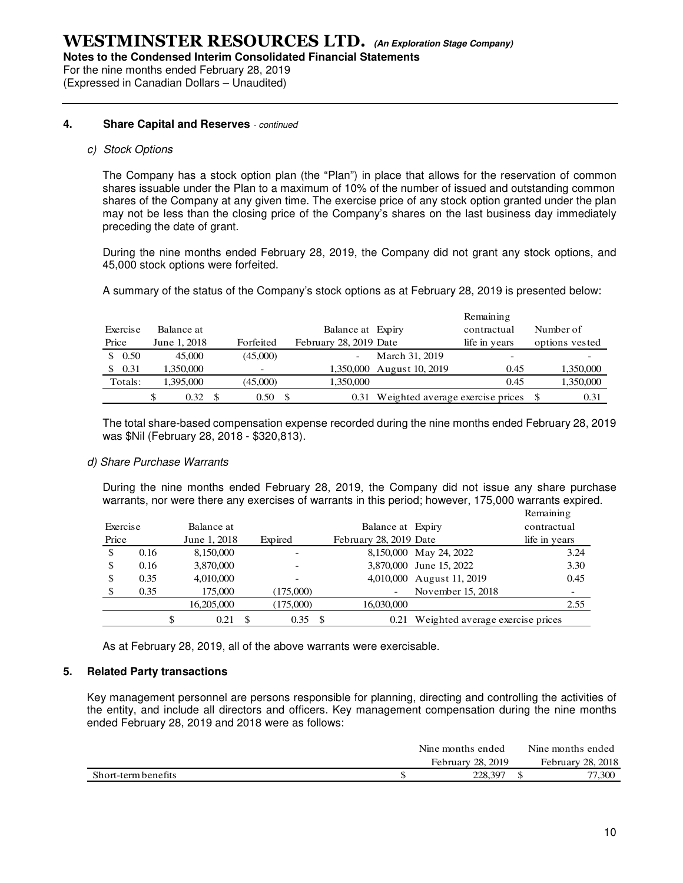**Notes to the Condensed Interim Consolidated Financial Statements** 

For the nine months ended February 28, 2019 (Expressed in Canadian Dollars – Unaudited)

#### **4. Share Capital and Reserves** - continued

#### c) Stock Options

The Company has a stock option plan (the "Plan") in place that allows for the reservation of common shares issuable under the Plan to a maximum of 10% of the number of issued and outstanding common shares of the Company at any given time. The exercise price of any stock option granted under the plan may not be less than the closing price of the Company's shares on the last business day immediately preceding the date of grant.

During the nine months ended February 28, 2019, the Company did not grant any stock options, and 45,000 stock options were forfeited.

A summary of the status of the Company's stock options as at February 28, 2019 is presented below:

|       |          |              |           |                          |                                  | Remaining     |                |
|-------|----------|--------------|-----------|--------------------------|----------------------------------|---------------|----------------|
|       | Exercise | Balance at   |           | Balance at Expiry        |                                  | contractual   | Number of      |
| Price |          | June 1, 2018 | Forfeited | February 28, 2019 Date   |                                  | life in years | options vested |
|       | \$0.50   | 45,000       | (45,000)  | $\overline{\phantom{a}}$ | March 31, 2019                   | -             |                |
| S.    | 0.31     | 1,350,000    |           |                          | 1,350,000 August 10, 2019        | 0.45          | 1,350,000      |
|       | Totals:  | 1,395,000    | (45,000)  | 1,350,000                |                                  | 0.45          | 1,350,000      |
|       |          | 0.32         | 0.50      | 0.31                     | Weighted average exercise prices |               | 0.31           |

The total share-based compensation expense recorded during the nine months ended February 28, 2019 was \$Nil (February 28, 2018 - \$320,813).

#### d) Share Purchase Warrants

During the nine months ended February 28, 2019, the Company did not issue any share purchase warrants, nor were there any exercises of warrants in this period; however, 175,000 warrants expired. Remaining

|          |      |              |            |      |                        |                                  | <b>IV HRIBITING</b> |      |
|----------|------|--------------|------------|------|------------------------|----------------------------------|---------------------|------|
| Exercise |      | Balance at   |            |      | Balance at Expiry      |                                  | contractual         |      |
| Price    |      | June 1, 2018 | Expired    |      | February 28, 2019 Date |                                  | life in years       |      |
| \$       | 0.16 | 8,150,000    |            |      |                        | 8,150,000 May 24, 2022           |                     | 3.24 |
| \$       | 0.16 | 3,870,000    |            |      |                        | 3,870,000 June 15, 2022          |                     | 3.30 |
| \$       | 0.35 | 4,010,000    |            |      |                        | 4,010,000 August 11, 2019        |                     | 0.45 |
| \$       | 0.35 | 175,000      | (175,000)  |      |                        | November 15, 2018                |                     |      |
|          |      | 16,205,000   | (175,000)  |      | 16,030,000             |                                  |                     | 2.55 |
|          |      | \$<br>0.21   | \$<br>0.35 | - \$ | 0.21                   | Weighted average exercise prices |                     |      |

As at February 28, 2019, all of the above warrants were exercisable.

#### **5. Related Party transactions**

Key management personnel are persons responsible for planning, directing and controlling the activities of the entity, and include all directors and officers. Key management compensation during the nine months ended February 28, 2019 and 2018 were as follows:

|                     | Nine months ended | Nine months ended |
|---------------------|-------------------|-------------------|
|                     | February 28, 2019 | February 28, 2018 |
| Short-term benefits | 228.397           | 77.300            |